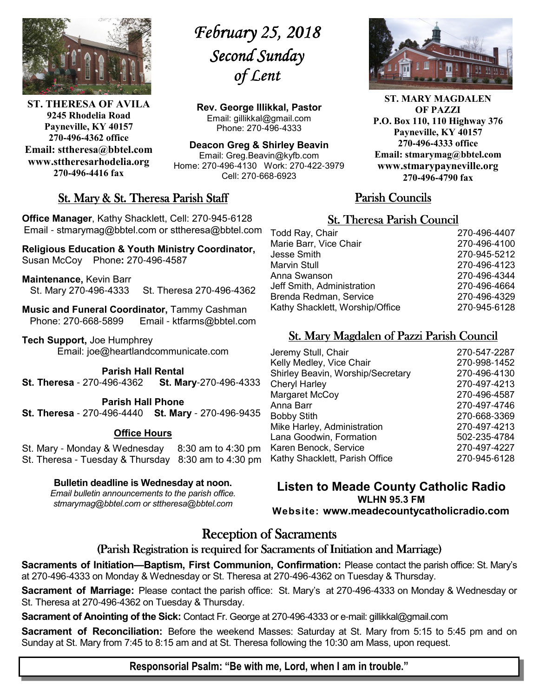

**ST. THERESA OF AVILA 9245 Rhodelia Road Payneville, KY 40157 270-496-4362 office Email: sttheresa@bbtel.com www.sttheresarhodelia.org 270-496-4416 fax**

# *February 25, 2018 February 25,*  Second Sunday *of Lent*

**Rev. George Illikkal, Pastor** Email: gillikkal@gmail.com Phone: 270-496-4333

**Deacon Greg & Shirley Beavin** Email: Greg.Beavin@kyfb.com Home: 270-496-4130 Work: 270-422-3979 Cell: 270-668-6923

### St. Mary & St. Theresa Parish Staff

**Office Manager**, Kathy Shacklett, Cell: 270-945-6128 Email - stmarymag@bbtel.com or sttheresa@bbtel.com

**Religious Education & Youth Ministry Coordinator,**  Susan McCoy Phone**:** 270-496-4587

**Maintenance,** Kevin Barr St. Mary 270-496-4333 St. Theresa 270-496-4362

**Music and Funeral Coordinator,** Tammy Cashman Phone: 270-668-5899 Email - ktfarms@bbtel.com

**Tech Support,** Joe Humphrey Email: joe@heartlandcommunicate.com

**Parish Hall Rental** 

**St. Theresa** - 270-496-4362 **St. Mary**-270-496-4333

**Parish Hall Phone St. Theresa** - 270-496-4440 **St. Mary** - 270-496-9435

#### **Office Hours**

St. Mary - Monday & Wednesday 8:30 am to 4:30 pm St. Theresa - Tuesday & Thursday 8:30 am to 4:30 pm

#### **Bulletin deadline is Wednesday at noon.**

*Email bulletin announcements to the parish office. stmarymag@bbtel.com or sttheresa@bbtel.com*



**ST. MARY MAGDALEN OF PAZZI P.O. Box 110, 110 Highway 376 Payneville, KY 40157 270-496-4333 office Email: stmarymag@bbtel.com www.stmarypayneville.org 270-496-4790 fax**

### Parish Councils Parish Councils

### **St. Theresa Parish Council**

| Todd Ray, Chair                 | 270-496-4407 |
|---------------------------------|--------------|
| Marie Barr, Vice Chair          | 270-496-4100 |
| Jesse Smith                     | 270-945-5212 |
| Marvin Stull                    | 270-496-4123 |
| Anna Swanson                    | 270-496-4344 |
| Jeff Smith, Administration      | 270-496-4664 |
| Brenda Redman, Service          | 270-496-4329 |
| Kathy Shacklett, Worship/Office | 270-945-6128 |
|                                 |              |

### St. Mary Magdalen of Pazzi Parish Council

| Jeremy Stull, Chair               | 270-547-2287 |
|-----------------------------------|--------------|
| Kelly Medley, Vice Chair          | 270-998-1452 |
| Shirley Beavin, Worship/Secretary | 270-496-4130 |
| <b>Cheryl Harley</b>              | 270-497-4213 |
| Margaret McCoy                    | 270-496-4587 |
| Anna Barr                         | 270-497-4746 |
| <b>Bobby Stith</b>                | 270-668-3369 |
| Mike Harley, Administration       | 270-497-4213 |
| Lana Goodwin, Formation           | 502-235-4784 |
| Karen Benock, Service             | 270-497-4227 |
| Kathy Shacklett, Parish Office    | 270-945-6128 |
|                                   |              |

**Listen to Meade County Catholic Radio WLHN 95.3 FM Website: www.meadecountycatholicradio.com**

# **Reception of Sacraments**

### (Parish Registration is required for Sacraments of Initiation and Marriage)

**Sacraments of Initiation—Baptism, First Communion, Confirmation:** Please contact the parish office: St. Mary's at 270-496-4333 on Monday & Wednesday or St. Theresa at 270-496-4362 on Tuesday & Thursday.

**Sacrament of Marriage:** Please contact the parish office: St. Mary's at 270-496-4333 on Monday & Wednesday or St. Theresa at 270-496-4362 on Tuesday & Thursday.

**Sacrament of Anointing of the Sick:** Contact Fr. George at 270-496-4333 or e-mail: gillikkal@gmail.com

**Sacrament of Reconciliation:** Before the weekend Masses: Saturday at St. Mary from 5:15 to 5:45 pm and on Sunday at St. Mary from 7:45 to 8:15 am and at St. Theresa following the 10:30 am Mass, upon request.

#### **Responsorial Psalm: "Be with me, Lord, when I am in trouble."**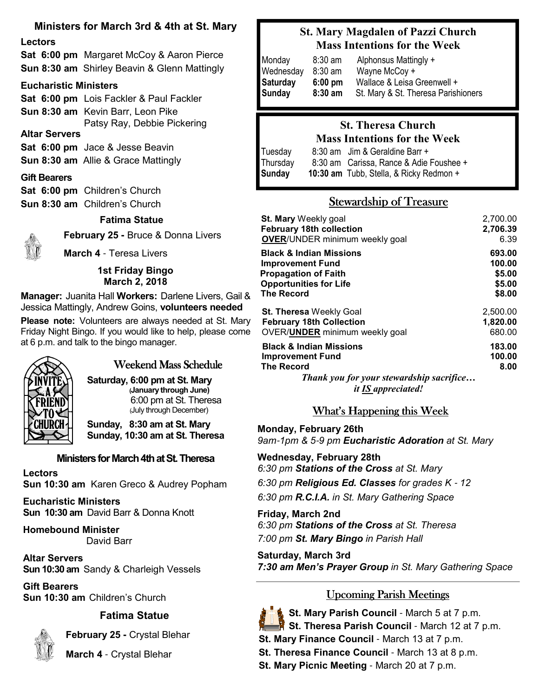### **Ministers for March 3rd & 4th at St. Mary**

#### **Lectors**

**Sat 6:00 pm** Margaret McCoy & Aaron Pierce **Sun 8:30 am** Shirley Beavin & Glenn Mattingly

#### **Eucharistic Ministers**

**Sat 6:00 pm** Lois Fackler & Paul Fackler **Sun 8:30 am** Kevin Barr, Leon Pike Patsy Ray, Debbie Pickering **Altar Servers Sat 6:00 pm** Jace & Jesse Beavin **Sun 8:30 am** Allie & Grace Mattingly **Gift Bearers**

|  | Sat 6:00 pm Children's Church |  |
|--|-------------------------------|--|
|  | Sun 8:30 am Children's Church |  |

#### **Fatima Statue**



**February 25 -** Bruce & Donna Livers **March 4** - Teresa Livers

#### **1st Friday Bingo March 2, 2018**

**Manager:** Juanita Hall **Workers:** Darlene Livers, Gail & Jessica Mattingly, Andrew Goins, **volunteers needed**

**Please note:** Volunteers are always needed at St. Mary Friday Night Bingo. If you would like to help, please come at 6 p.m. and talk to the bingo manager.



### Weekend Mass Schedule

**Saturday, 6:00 pm at St. Mary (January through June)** 6:00 pm at St. Theresa (July through December)

**Sunday, 8:30 am at St. Mary Sunday, 10:30 am at St. Theresa**

### **Ministers for March 4th at St. Theresa**

**Lectors Sun 10:30 am** Karen Greco & Audrey Popham

**Eucharistic Ministers Sun 10:30 am** David Barr & Donna Knott

**Homebound Minister** David Barr

**Altar Servers Sun 10:30 am** Sandy & Charleigh Vessels

**Gift Bearers Sun 10:30 am** Children's Church

### **Fatima Statue**



 **February 25 -** Crystal Blehar

**March 4** - Crystal Blehar

# **St. Mary Magdalen of Pazzi Church Mass Intentions for the Week**

| Monday    | $8:30$ am         | Alphonsus Mattingly +               |
|-----------|-------------------|-------------------------------------|
| Wednesday | $8:30$ am         | Wayne McCoy +                       |
| Saturday  | $6:00 \text{ pm}$ | Wallace & Leisa Greenwell +         |
| Sunday    | $8:30$ am         | St. Mary & St. Theresa Parishioners |

### **St. Theresa Church Mass Intentions for the Week**

| Tuesday  | 8:30 am Jim & Geraldine Barr +          |
|----------|-----------------------------------------|
| Thursday | 8:30 am Carissa, Rance & Adie Foushee + |
| Sunday   | 10:30 am Tubb, Stella, & Ricky Redmon + |

# **Stewardship of Treasure**

| <b>St. Mary</b> Weekly goal                                                                                                                                 | 2,700.00                 |
|-------------------------------------------------------------------------------------------------------------------------------------------------------------|--------------------------|
| <b>February 18th collection</b>                                                                                                                             | 2,706.39                 |
| <b>OVER/UNDER minimum weekly goal</b>                                                                                                                       | 6.39                     |
| <b>Black &amp; Indian Missions</b>                                                                                                                          | 693.00                   |
| <b>Improvement Fund</b>                                                                                                                                     | 100.00                   |
| <b>Propagation of Faith</b>                                                                                                                                 | \$5.00                   |
| <b>Opportunities for Life</b>                                                                                                                               | \$5.00                   |
| <b>The Record</b>                                                                                                                                           | \$8.00                   |
| <b>St. Theresa</b> Weekly Goal                                                                                                                              | 2,500.00                 |
| <b>February 18th Collection</b>                                                                                                                             | 1,820.00                 |
| OVER/UNDER minimum weekly goal                                                                                                                              | 680.00                   |
| <b>Black &amp; Indian Missions</b><br><b>Improvement Fund</b><br><b>The Record</b><br>Thank you for your stewardship sacrifice<br><i>it IS appreciated!</i> | 183.00<br>100.00<br>8.00 |

What's Happening this Week

**Monday, February 26th** *9am*-*1pm & 5*-*9 pm Eucharistic Adoration at St. Mary*

**Wednesday, February 28th** *6:30 pm Stations of the Cross at St. Mary*

*6:30 pm Religious Ed. Classes for grades K* - *12 6:30 pm R.C.I.A. in St. Mary Gathering Space*

**Friday, March 2nd** *6:30 pm Stations of the Cross at St. Theresa 7:00 pm St. Mary Bingo in Parish Hall*

**Saturday, March 3rd** *7:30 am Men's Prayer Group in St. Mary Gathering Space*

# Upcoming Parish Meetings



**St. Mary Parish Council** - March 5 at 7 p.m.

- **St. Theresa Parish Council** March 12 at 7 p.m.
- **St. Mary Finance Council**  March 13 at 7 p.m.
- **St. Theresa Finance Council March 13 at 8 p.m.**
- **St. Mary Picnic Meeting**  March 20 at 7 p.m.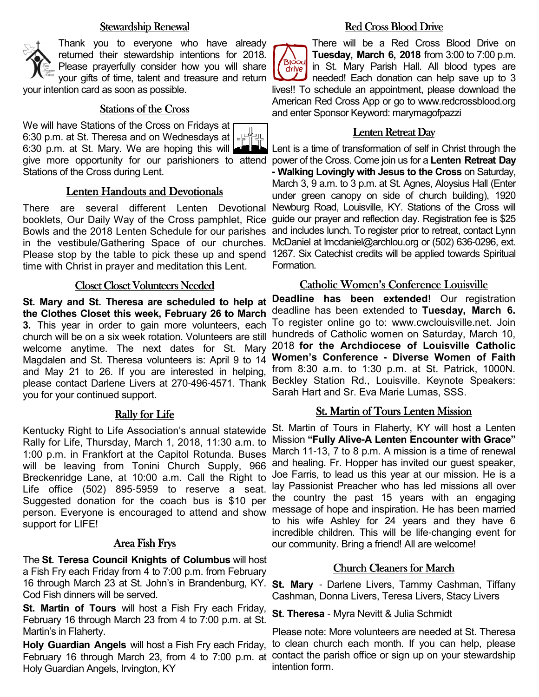#### Stewardship Renewal

Thank you to everyone who have already returned their stewardship intentions for 2018. Please prayerfully consider how you will share your gifts of time, talent and treasure and return your intention card as soon as possible.

#### Stations of the Cross

We will have Stations of the Cross on Fridays at 6:30 p.m. at St. Theresa and on Wednesdays at 6:30 p.m. at St. Mary. We are hoping this will give more opportunity for our parishioners to attend power of the Cross. Come join us for a **Lenten Retreat Day**  Stations of the Cross during Lent.

#### Lenten Handouts and Devotionals

There are several different Lenten Devotional booklets, Our Daily Way of the Cross pamphlet, Rice guide our prayer and reflection day. Registration fee is \$25 Bowls and the 2018 Lenten Schedule for our parishes in the vestibule/Gathering Space of our churches. Please stop by the table to pick these up and spend 1267. Six Catechist credits will be applied towards Spiritual time with Christ in prayer and meditation this Lent.

#### Closet Closet Volunteers Needed

**St. Mary and St. Theresa are scheduled to help at the Clothes Closet this week, February 26 to March 3.** This year in order to gain more volunteers, each church will be on a six week rotation. Volunteers are still welcome anytime. The next dates for St. Mary Magdalen and St. Theresa volunteers is: April 9 to 14 and May 21 to 26. If you are interested in helping, please contact Darlene Livers at 270-496-4571. Thank you for your continued support.

#### Rally for Life

Kentucky Right to Life Association's annual statewide Rally for Life, Thursday, March 1, 2018, 11:30 a.m. to 1:00 p.m. in Frankfort at the Capitol Rotunda. Buses will be leaving from Tonini Church Supply, 966 Breckenridge Lane, at 10:00 a.m. Call the Right to Life office (502) 895-5959 to reserve a seat. Suggested donation for the coach bus is \$10 per person. Everyone is encouraged to attend and show support for LIFE!

#### Area Fish Frys

The **St. Teresa Council Knights of Columbus** will host a Fish Fry each Friday from 4 to 7:00 p.m. from February 16 through March 23 at St. John's in Brandenburg, KY. **St. Mary** - Darlene Livers, Tammy Cashman, Tiffany Cod Fish dinners will be served.

**St. Martin of Tours** will host a Fish Fry each Friday, February 16 through March 23 from 4 to 7:00 p.m. at St. Martin's in Flaherty.

**Holy Guardian Angels** will host a Fish Fry each Friday, Holy Guardian Angels, Irvington, KY

### Red Cross Blood Drive

There will be a Red Cross Blood Drive on **Tuesday, March 6, 2018** from 3:00 to 7:00 p.m. Blood<br>drive in St. Mary Parish Hall. All blood types are needed! Each donation can help save up to 3 lives!! To schedule an appointment, please download the American Red Cross App or go to www.redcrossblood.org and enter Sponsor Keyword: marymagofpazzi

#### Lenten Retreat Day

Lent is a time of transformation of self in Christ through the **- Walking Lovingly with Jesus to the Cross** on Saturday, March 3, 9 a.m. to 3 p.m. at St. Agnes, Aloysius Hall (Enter under green canopy on side of church building), 1920 Newburg Road, Louisville, KY. Stations of the Cross will and includes lunch. To register prior to retreat, contact Lynn McDaniel at lmcdaniel@archlou.org or (502) 636-0296, ext. Formation.

#### Catholic Women's Conference Louisville

**Deadline has been extended!** Our registration deadline has been extended to **Tuesday, March 6.**  To register online go to: www.cwclouisville.net. Join hundreds of Catholic women on Saturday, March 10, 2018 **for the Archdiocese of Louisville Catholic Women's Conference - Diverse Women of Faith** from 8:30 a.m. to 1:30 p.m. at St. Patrick, 1000N. Beckley Station Rd., Louisville. Keynote Speakers: Sarah Hart and Sr. Eva Marie Lumas, SSS.

#### St. Martin of Tours Lenten Mission

St. Martin of Tours in Flaherty, KY will host a Lenten Mission **"Fully Alive-A Lenten Encounter with Grace"**  March 11-13, 7 to 8 p.m. A mission is a time of renewal and healing. Fr. Hopper has invited our guest speaker, Joe Farris, to lead us this year at our mission. He is a lay Passionist Preacher who has led missions all over the country the past 15 years with an engaging message of hope and inspiration. He has been married to his wife Ashley for 24 years and they have 6 incredible children. This will be life-changing event for our community. Bring a friend! All are welcome!

#### Church Cleaners for March

Cashman, Donna Livers, Teresa Livers, Stacy Livers

**St. Theresa** - Myra Nevitt & Julia Schmidt

February 16 through March 23, from 4 to 7:00 p.m. at contact the parish office or sign up on your stewardship Please note: More volunteers are needed at St. Theresa to clean church each month. If you can help, please intention form.